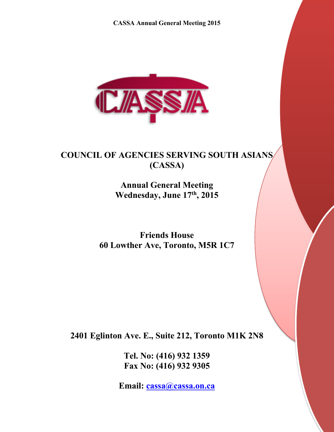

# **COUNCIL OF AGENCIES SERVING SOUTH ASIANS (CASSA)**

**Annual General Meeting Wednesday, June 17th, 2015**

**Friends House 60 Lowther Ave, Toronto, M5R 1C7**

**2401 Eglinton Ave. E., Suite 212, Toronto M1K 2N8**

**Tel. No: (416) 932 1359 Fax No: (416) 932 9305**

**Email: cassa@cassa.on.ca**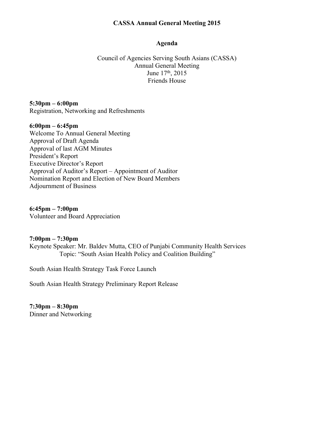#### **Agenda**

Council of Agencies Serving South Asians (CASSA) Annual General Meeting June 17<sup>th</sup>, 2015 Friends House

**5:30pm – 6:00pm** Registration, Networking and Refreshments

#### **6:00pm – 6:45pm**

Welcome To Annual General Meeting Approval of Draft Agenda Approval of last AGM Minutes President's Report Executive Director's Report Approval of Auditor's Report – Appointment of Auditor Nomination Report and Election of New Board Members Adjournment of Business

**6:45pm – 7:00pm**

Volunteer and Board Appreciation

#### **7:00pm – 7:30pm**

Keynote Speaker: Mr. Baldev Mutta, CEO of Punjabi Community Health Services Topic: "South Asian Health Policy and Coalition Building"

South Asian Health Strategy Task Force Launch

South Asian Health Strategy Preliminary Report Release

**7:30pm – 8:30pm** Dinner and Networking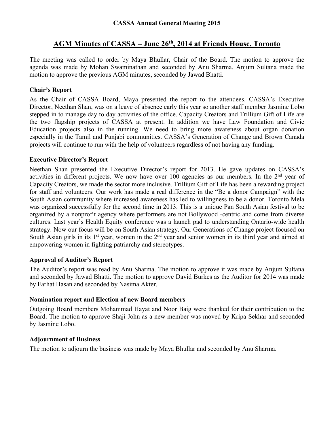# **AGM Minutes of CASSA – June 26th, 2014 at Friends House, Toronto**

The meeting was called to order by Maya Bhullar, Chair of the Board. The motion to approve the agenda was made by Mohan Swaminathan and seconded by Anu Sharma. Anjum Sultana made the motion to approve the previous AGM minutes, seconded by Jawad Bhatti.

#### **Chair's Report**

As the Chair of CASSA Board, Maya presented the report to the attendees. CASSA's Executive Director, Neethan Shan, was on a leave of absence early this year so another staff member Jasmine Lobo stepped in to manage day to day activities of the office. Capacity Creators and Trillium Gift of Life are the two flagship projects of CASSA at present. In addition we have Law Foundation and Civic Education projects also in the running. We need to bring more awareness about organ donation especially in the Tamil and Punjabi communities. CASSA's Generation of Change and Brown Canada projects will continue to run with the help of volunteers regardless of not having any funding.

#### **Executive Director's Report**

Neethan Shan presented the Executive Director's report for 2013. He gave updates on CASSA's activities in different projects. We now have over 100 agencies as our members. In the 2<sup>nd</sup> year of Capacity Creators, we made the sector more inclusive. Trillium Gift of Life has been a rewarding project for staff and volunteers. Our work has made a real difference in the "Be a donor Campaign" with the South Asian community where increased awareness has led to willingness to be a donor. Toronto Mela was organized successfully for the second time in 2013. This is a unique Pan South Asian festival to be organized by a nonprofit agency where performers are not Bollywood -centric and come from diverse cultures. Last year's Health Equity conference was a launch pad to understanding Ontario-wide health strategy. Now our focus will be on South Asian strategy. Our Generations of Change project focused on South Asian girls in its  $1<sup>st</sup>$  year, women in the  $2<sup>nd</sup>$  year and senior women in its third year and aimed at empowering women in fighting patriarchy and stereotypes.

#### **Approval of Auditor's Report**

The Auditor's report was read by Anu Sharma. The motion to approve it was made by Anjum Sultana and seconded by Jawad Bhatti. The motion to approve David Burkes as the Auditor for 2014 was made by Farhat Hasan and seconded by Nasima Akter.

#### **Nomination report and Election of new Board members**

Outgoing Board members Mohammad Hayat and Noor Baig were thanked for their contribution to the Board. The motion to approve Shaji John as a new member was moved by Kripa Sekhar and seconded by Jasmine Lobo.

#### **Adjournment of Business**

The motion to adjourn the business was made by Maya Bhullar and seconded by Anu Sharma.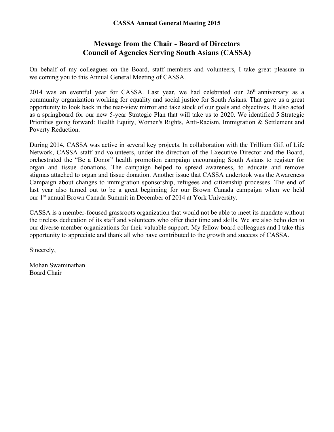# **Message from the Chair - Board of Directors Council of Agencies Serving South Asians (CASSA)**

On behalf of my colleagues on the Board, staff members and volunteers, I take great pleasure in welcoming you to this Annual General Meeting of CASSA.

2014 was an eventful year for CASSA. Last year, we had celebrated our  $26<sup>th</sup>$  anniversary as a community organization working for equality and social justice for South Asians. That gave us a great opportunity to look back in the rear-view mirror and take stock of our goals and objectives. It also acted as a springboard for our new 5-year Strategic Plan that will take us to 2020. We identified 5 Strategic Priorities going forward: Health Equity, Women's Rights, Anti-Racism, Immigration & Settlement and Poverty Reduction.

During 2014, CASSA was active in several key projects. In collaboration with the Trillium Gift of Life Network, CASSA staff and volunteers, under the direction of the Executive Director and the Board, orchestrated the "Be a Donor" health promotion campaign encouraging South Asians to register for organ and tissue donations. The campaign helped to spread awareness, to educate and remove stigmas attached to organ and tissue donation. Another issue that CASSA undertook was the Awareness Campaign about changes to immigration sponsorship, refugees and citizenship processes. The end of last year also turned out to be a great beginning for our Brown Canada campaign when we held our 1st annual Brown Canada Summit in December of 2014 at York University.

CASSA is a member-focused grassroots organization that would not be able to meet its mandate without the tireless dedication of its staff and volunteers who offer their time and skills. We are also beholden to our diverse member organizations for their valuable support. My fellow board colleagues and I take this opportunity to appreciate and thank all who have contributed to the growth and success of CASSA.

Sincerely,

Mohan Swaminathan Board Chair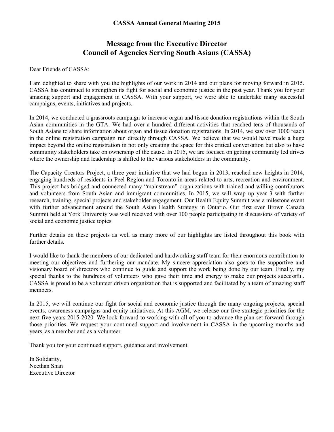# **Message from the Executive Director Council of Agencies Serving South Asians (CASSA)**

Dear Friends of CASSA:

I am delighted to share with you the highlights of our work in 2014 and our plans for moving forward in 2015. CASSA has continued to strengthen its fight for social and economic justice in the past year. Thank you for your amazing support and engagement in CASSA. With your support, we were able to undertake many successful campaigns, events, initiatives and projects.

In 2014, we conducted a grassroots campaign to increase organ and tissue donation registrations within the South Asian communities in the GTA. We had over a hundred different activities that reached tens of thousands of South Asians to share information about organ and tissue donation registrations. In 2014, we saw over 1000 reach in the online registration campaign run directly through CASSA. We believe that we would have made a huge impact beyond the online registration in not only creating the space for this critical conversation but also to have community stakeholders take on ownership of the cause. In 2015, we are focused on getting community led drives where the ownership and leadership is shifted to the various stakeholders in the community.

The Capacity Creators Project, a three year initiative that we had begun in 2013, reached new heights in 2014, engaging hundreds of residents in Peel Region and Toronto in areas related to arts, recreation and environment. This project has bridged and connected many "mainstream" organizations with trained and willing contributors and volunteers from South Asian and immigrant communities. In 2015, we will wrap up year 3 with further research, training, special projects and stakeholder engagement. Our Health Equity Summit was a milestone event with further advancement around the South Asian Health Strategy in Ontario. Our first ever Brown Canada Summit held at York University was well received with over 100 people participating in discussions of variety of social and economic justice topics.

Further details on these projects as well as many more of our highlights are listed throughout this book with further details.

I would like to thank the members of our dedicated and hardworking staff team for their enormous contribution to meeting our objectives and furthering our mandate. My sincere appreciation also goes to the supportive and visionary board of directors who continue to guide and support the work being done by our team. Finally, my special thanks to the hundreds of volunteers who gave their time and energy to make our projects successful. CASSA is proud to be a volunteer driven organization that is supported and facilitated by a team of amazing staff members.

In 2015, we will continue our fight for social and economic justice through the many ongoing projects, special events, awareness campaigns and equity initiatives. At this AGM, we release our five strategic priorities for the next five years 2015-2020. We look forward to working with all of you to advance the plan set forward through those priorities. We request your continued support and involvement in CASSA in the upcoming months and years, as a member and as a volunteer.

Thank you for your continued support, guidance and involvement.

In Solidarity, Neethan Shan Executive Director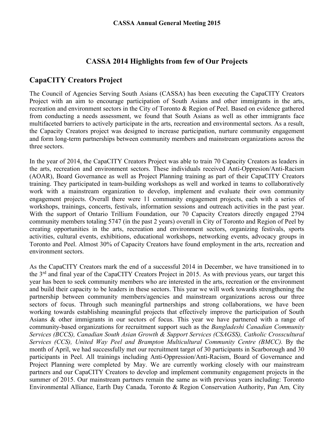# **CASSA 2014 Highlights from few of Our Projects**

# **CapaCITY Creators Project**

The Council of Agencies Serving South Asians (CASSA) has been executing the CapaCITY Creators Project with an aim to encourage participation of South Asians and other immigrants in the arts, recreation and environment sectors in the City of Toronto & Region of Peel. Based on evidence gathered from conducting a needs assessment, we found that South Asians as well as other immigrants face multifaceted barriers to actively participate in the arts, recreation and environmental sectors. As a result, the Capacity Creators project was designed to increase participation, nurture community engagement and form long-term partnerships between community members and mainstream organizations across the three sectors.

In the year of 2014, the CapaCITY Creators Project was able to train 70 Capacity Creators as leaders in the arts, recreation and environment sectors. These individuals received Anti-Oppresion/Anti-Racism (AOAR), Board Governance as well as Project Planning training as part of their CapaCITY Creators training. They participated in team-building workshops as well and worked in teams to collaboratively work with a mainstream organization to develop, implement and evaluate their own community engagement projects. Overall there were 11 community engagement projects, each with a series of workshops, trainings, concerts, festivals, information sessions and outreach activities in the past year. With the support of Ontario Trillium Foundation, our 70 Capacity Creators directly engaged 2794 community members totaling 5747 (in the past 2 years) overall in City of Toronto and Region of Peel by creating opportunities in the arts, recreation and environment sectors, organizing festivals, sports activities, cultural events, exhibitions, educational workshops, networking events, advocacy groups in Toronto and Peel. Almost 30% of Capacity Creators have found employment in the arts, recreation and environment sectors.

As the CapaCITY Creators mark the end of a successful 2014 in December, we have transitioned in to the 3rd and final year of the CapaCITY Creators Project in 2015. As with previous years, our target this year has been to seek community members who are interested in the arts, recreation or the environment and build their capacity to be leaders in these sectors. This year we will work towards strengthening the partnership between community members/agencies and mainstream organizations across our three sectors of focus. Through such meaningful partnerships and strong collaborations, we have been working towards establishing meaningful projects that effectively improve the participation of South Asians & other immigrants in our sectors of focus. This year we have partnered with a range of community-based organizations for recruitment support such as the *Bangladeshi Canadian Community Services (BCCS), Canadian South Asian Growth & Support Services (CSAGSS), Catholic Crosscultural Services (CCS), United Way Peel and Brampton Multicultural Community Centre (BMCC).* By the month of April, we had successfully met our recruitment target of 30 participants in Scarborough and 30 participants in Peel. All trainings including Anti-Oppression/Anti-Racism, Board of Governance and Project Planning were completed by May. We are currently working closely with our mainstream partners and our CapaCITY Creators to develop and implement community engagement projects in the summer of 2015. Our mainstream partners remain the same as with previous years including: Toronto Environmental Alliance, Earth Day Canada*,* Toronto & Region Conservation Authority, Pan Am*,* City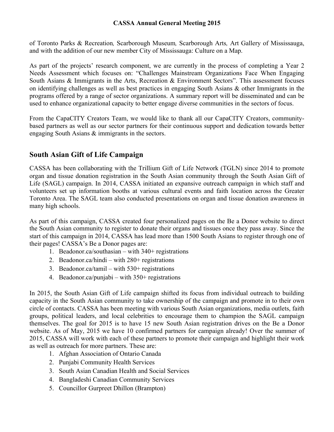of Toronto Parks & Recreation*,* Scarborough Museum*,* Scarborough Arts*,* Art Gallery of Mississauga, and with the addition of our new member City of Mississauga: Culture on a Map.

As part of the projects' research component, we are currently in the process of completing a Year 2 Needs Assessment which focuses on: "Challenges Mainstream Organizations Face When Engaging South Asians & Immigrants in the Arts, Recreation & Environment Sectors". This assessment focuses on identifying challenges as well as best practices in engaging South Asians & other Immigrants in the programs offered by a range of sector organizations. A summary report will be disseminated and can be used to enhance organizational capacity to better engage diverse communities in the sectors of focus.

From the CapaCITY Creators Team, we would like to thank all our CapaCITY Creators, communitybased partners as well as our sector partners for their continuous support and dedication towards better engaging South Asians & immigrants in the sectors.

# **South Asian Gift of Life Campaign**

CASSA has been collaborating with the Trillium Gift of Life Network (TGLN) since 2014 to promote organ and tissue donation registration in the South Asian community through the South Asian Gift of Life (SAGL) campaign. In 2014, CASSA initiated an expansive outreach campaign in which staff and volunteers set up information booths at various cultural events and faith location across the Greater Toronto Area. The SAGL team also conducted presentations on organ and tissue donation awareness in many high schools.

As part of this campaign, CASSA created four personalized pages on the Be a Donor website to direct the South Asian community to register to donate their organs and tissues once they pass away. Since the start of this campaign in 2014, CASSA has lead more than 1500 South Asians to register through one of their pages! CASSA's Be a Donor pages are:

- 1. Beadonor.ca/southasian with 340+ registrations
- 2. Beadonor.ca/hindi with 280+ registrations
- 3. Beadonor.ca/tamil with  $530+$  registrations
- 4. Beadonor.ca/punjabi with 350+ registrations

In 2015, the South Asian Gift of Life campaign shifted its focus from individual outreach to building capacity in the South Asian community to take ownership of the campaign and promote in to their own circle of contacts. CASSA has been meeting with various South Asian organizations, media outlets, faith groups, political leaders, and local celebrities to encourage them to champion the SAGL campaign themselves. The goal for 2015 is to have 15 new South Asian registration drives on the Be a Donor website. As of May, 2015 we have 10 confirmed partners for campaign already! Over the summer of 2015, CASSA will work with each of these partners to promote their campaign and highlight their work as well as outreach for more partners. These are:

- 1. Afghan Association of Ontario Canada
- 2. Punjabi Community Health Services
- 3. South Asian Canadian Health and Social Services
- 4. Bangladeshi Canadian Community Services
- 5. Councillor Gurpreet Dhillon (Brampton)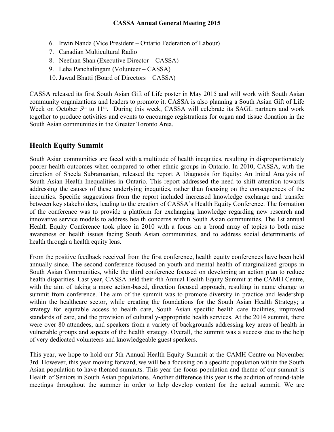- 6. Irwin Nanda (Vice President Ontario Federation of Labour)
- 7. Canadian Multicultural Radio
- 8. Neethan Shan (Executive Director CASSA)
- 9. Leha Panchalingam (Volunteer CASSA)
- 10. Jawad Bhatti (Board of Directors CASSA)

CASSA released its first South Asian Gift of Life poster in May 2015 and will work with South Asian community organizations and leaders to promote it. CASSA is also planning a South Asian Gift of Life Week on October 5<sup>th</sup> to 11<sup>th</sup>. During this week, CASSA will celebrate its SAGL partners and work together to produce activities and events to encourage registrations for organ and tissue donation in the South Asian communities in the Greater Toronto Area.

# **Health Equity Summit**

South Asian communities are faced with a multitude of health inequities, resulting in disproportionately poorer health outcomes when compared to other ethnic groups in Ontario. In 2010, CASSA, with the direction of Sheela Subramanian, released the report A Diagnosis for Equity: An Initial Analysis of South Asian Health Inequalities in Ontario. This report addressed the need to shift attention towards addressing the causes of these underlying inequities, rather than focusing on the consequences of the inequities. Specific suggestions from the report included increased knowledge exchange and transfer between key stakeholders, leading to the creation of CASSA's Health Equity Conference. The formation of the conference was to provide a platform for exchanging knowledge regarding new research and innovative service models to address health concerns within South Asian communities. The 1st annual Health Equity Conference took place in 2010 with a focus on a broad array of topics to both raise awareness on health issues facing South Asian communities, and to address social determinants of health through a health equity lens.

From the positive feedback received from the first conference, health equity conferences have been held annually since. The second conference focused on youth and mental health of marginalized groups in South Asian Communities, while the third conference focused on developing an action plan to reduce health disparities. Last year, CASSA held their 4th Annual Health Equity Summit at the CAMH Centre, with the aim of taking a more action-based, direction focused approach, resulting in name change to summit from conference. The aim of the summit was to promote diversity in practice and leadership within the healthcare sector, while creating the foundations for the South Asian Health Strategy; a strategy for equitable access to health care, South Asian specific health care facilities, improved standards of care, and the provision of culturally-appropriate health services. At the 2014 summit, there were over 80 attendees, and speakers from a variety of backgrounds addressing key areas of health in vulnerable groups and aspects of the health strategy. Overall, the summit was a success due to the help of very dedicated volunteers and knowledgeable guest speakers.

This year, we hope to hold our 5th Annual Health Equity Summit at the CAMH Centre on November 3rd. However, this year moving forward, we will be a focusing on a specific population within the South Asian population to have themed summits. This year the focus population and theme of our summit is Health of Seniors in South Asian populations. Another difference this year is the addition of round-table meetings throughout the summer in order to help develop content for the actual summit. We are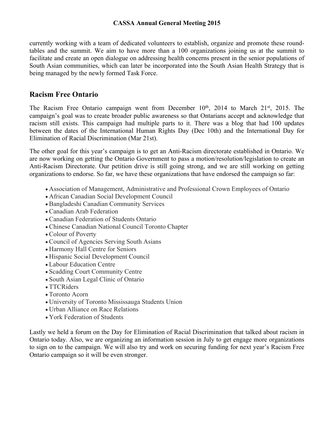currently working with a team of dedicated volunteers to establish, organize and promote these roundtables and the summit. We aim to have more than a 100 organizations joining us at the summit to facilitate and create an open dialogue on addressing health concerns present in the senior populations of South Asian communities, which can later be incorporated into the South Asian Health Strategy that is being managed by the newly formed Task Force.

# **Racism Free Ontario**

The Racism Free Ontario campaign went from December  $10<sup>th</sup>$ , 2014 to March 21<sup>st</sup>, 2015. The campaign's goal was to create broader public awareness so that Ontarians accept and acknowledge that racism still exists. This campaign had multiple parts to it. There was a blog that had 100 updates between the dates of the International Human Rights Day (Dec 10th) and the International Day for Elimination of Racial Discrimination (Mar 21st).

The other goal for this year's campaign is to get an Anti-Racism directorate established in Ontario. We are now working on getting the Ontario Government to pass a motion/resolution/legislation to create an Anti-Racism Directorate. Our petition drive is still going strong, and we are still working on getting organizations to endorse. So far, we have these organizations that have endorsed the campaign so far:

- Association of Management, Administrative and Professional Crown Employees of Ontario
- African Canadian Social Development Council
- Bangladeshi Canadian Community Services
- Canadian Arab Federation
- Canadian Federation of Students Ontario
- Chinese Canadian National Council Toronto Chapter
- Colour of Poverty
- Council of Agencies Serving South Asians
- Harmony Hall Centre for Seniors
- Hispanic Social Development Council
- Labour Education Centre
- Scadding Court Community Centre
- South Asian Legal Clinic of Ontario
- TTCRiders
- Toronto Acorn
- University of Toronto Mississauga Students Union
- Urban Alliance on Race Relations
- York Federation of Students

Lastly we held a forum on the Day for Elimination of Racial Discrimination that talked about racism in Ontario today. Also, we are organizing an information session in July to get engage more organizations to sign on to the campaign. We will also try and work on securing funding for next year's Racism Free Ontario campaign so it will be even stronger.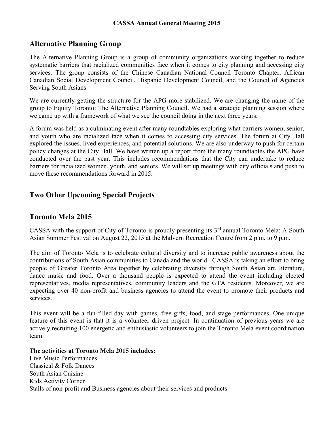# **Alternative Planning Group**

The Alternative Planning Group is a group of community organizations working together to reduce systematic barriers that racialized communities face when it comes to city planning and accessing city services. The group consists of the Chinese Canadian National Council Toronto Chapter, African Canadian Social Development Council, Hispanic Development Council, and the Council of Agencies Serving South Asians.

We are currently getting the structure for the APG more stabilized. We are changing the name of the group to Equity Toronto: The Alternative Planning Council. We had a strategic planning session where we came up with a framework of what we see the council doing in the next three years.

A forum was held as a culminating event after many roundtables exploring what barriers women, senior, and youth who are racialized face when it comes to accessing city services. The forum at City Hall explored the issues, lived experiences, and potential solutions. We are also underway to push for certain policy changes at the City Hall. We have written up a report from the many roundtables the APG have conducted over the past year. This includes recommendations that the City can undertake to reduce barriers for racialized women, youth, and seniors. We will set up meetings with city officials and push to move these recommendations forward in 2015.

# **Two Other Upcoming Special Projects**

# **Toronto Mela 2015**

CASSA with the support of City of Toronto is proudly presenting its  $3<sup>rd</sup>$  annual Toronto Mela: A South Asian Summer Festival on August 22, 2015 at the Malvern Recreation Centre from 2 p.m. to 9 p.m.

The aim of Toronto Mela is to celebrate cultural diversity and to increase public awareness about the contributions of South Asian communities to Canada and the world. CASSA is taking an effort to bring people of Greater Toronto Area together by celebrating diversity through South Asian art, literature, dance music and food. Over a thousand people is expected to attend the event including elected representatives, media representatives, community leaders and the GTA residents. Moreover, we are expecting over 40 non-profit and business agencies to attend the event to promote their products and services.

This event will be a fun filled day with games, free gifts, food, and stage performances. One unique feature of this event is that it is a volunteer driven project. In continuation of previous years we are actively recruiting 100 energetic and enthusiastic volunteers to join the Toronto Mela event coordination team.

**The activities at Toronto Mela 2015 includes:** 

Live Music Performances Classical & Folk Dances South Asian Cuisine Kids Activity Corner Stalls of non-profit and Business agencies about their services and products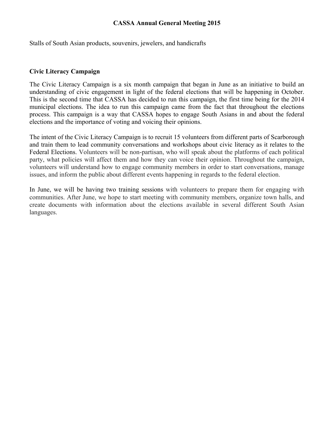Stalls of South Asian products, souvenirs, jewelers, and handicrafts

#### **Civic Literacy Campaign**

The Civic Literacy Campaign is a six month campaign that began in June as an initiative to build an understanding of civic engagement in light of the federal elections that will be happening in October. This is the second time that CASSA has decided to run this campaign, the first time being for the 2014 municipal elections. The idea to run this campaign came from the fact that throughout the elections process. This campaign is a way that CASSA hopes to engage South Asians in and about the federal elections and the importance of voting and voicing their opinions.

The intent of the Civic Literacy Campaign is to recruit 15 volunteers from different parts of Scarborough and train them to lead community conversations and workshops about civic literacy as it relates to the Federal Elections. Volunteers will be non-partisan, who will speak about the platforms of each political party, what policies will affect them and how they can voice their opinion. Throughout the campaign, volunteers will understand how to engage community members in order to start conversations, manage issues, and inform the public about different events happening in regards to the federal election.

In June, we will be having two training sessions with volunteers to prepare them for engaging with communities. After June, we hope to start meeting with community members, organize town halls, and create documents with information about the elections available in several different South Asian languages.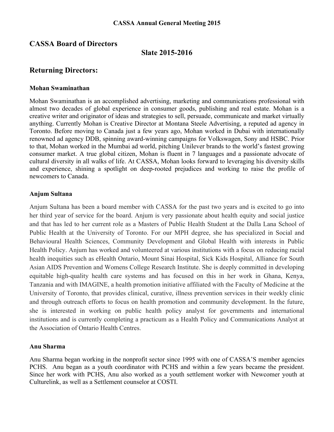# **CASSA Board of Directors**

#### **Slate 2015-2016**

# **Returning Directors:**

#### **Mohan Swaminathan**

Mohan Swaminathan is an accomplished advertising, marketing and communications professional with almost two decades of global experience in consumer goods, publishing and real estate. Mohan is a creative writer and originator of ideas and strategies to sell, persuade, communicate and market virtually anything. Currently Mohan is Creative Director at Montana Steele Advertising, a reputed ad agency in Toronto. Before moving to Canada just a few years ago, Mohan worked in Dubai with internationally renowned ad agency DDB, spinning award-winning campaigns for Volkswagen, Sony and HSBC. Prior to that, Mohan worked in the Mumbai ad world, pitching Unilever brands to the world's fastest growing consumer market. A true global citizen, Mohan is fluent in 7 languages and a passionate advocate of cultural diversity in all walks of life. At CASSA, Mohan looks forward to leveraging his diversity skills and experience, shining a spotlight on deep-rooted prejudices and working to raise the profile of newcomers to Canada.

#### **Anjum Sultana**

Anjum Sultana has been a board member with CASSA for the past two years and is excited to go into her third year of service for the board. Anjum is very passionate about health equity and social justice and that has led to her current role as a Masters of Public Health Student at the Dalla Lana School of Public Health at the University of Toronto. For our MPH degree, she has specialized in Social and Behavioural Health Sciences, Community Development and Global Health with interests in Public Health Policy. Anjum has worked and volunteered at various institutions with a focus on reducing racial health inequities such as eHealth Ontario, Mount Sinai Hospital, Sick Kids Hospital, Alliance for South Asian AIDS Prevention and Womens College Research Institute. She is deeply committed in developing equitable high-quality health care systems and has focused on this in her work in Ghana, Kenya, Tanzania and with IMAGINE, a health promotion initiative affiliated with the Faculty of Medicine at the University of Toronto, that provides clinical, curative, illness prevention services in their weekly clinic and through outreach efforts to focus on health promotion and community development. In the future, she is interested in working on public health policy analyst for governments and international institutions and is currently completing a practicum as a Health Policy and Communications Analyst at the Association of Ontario Health Centres.

#### **Anu Sharma**

Anu Sharma began working in the nonprofit sector since 1995 with one of CASSA'S member agencies PCHS. Anu began as a youth coordinator with PCHS and within a few years became the president. Since her work with PCHS, Anu also worked as a youth settlement worker with Newcomer youth at Culturelink, as well as a Settlement counselor at COSTI.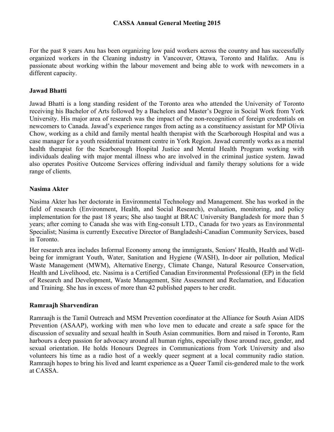For the past 8 years Anu has been organizing low paid workers across the country and has successfully organized workers in the Cleaning industry in Vancouver, Ottawa, Toronto and Halifax. Anu is passionate about working within the labour movement and being able to work with newcomers in a different capacity.

#### **Jawad Bhatti**

Jawad Bhatti is a long standing resident of the Toronto area who attended the University of Toronto receiving his Bachelor of Arts followed by a Bachelors and Master's Degree in Social Work from York University. His major area of research was the impact of the non-recognition of foreign credentials on newcomers to Canada. Jawad's experience ranges from acting as a constituency assistant for MP Olivia Chow, working as a child and family mental health therapist with the Scarborough Hospital and was a case manager for a youth residential treatment centre in York Region. Jawad currently works as a mental health therapist for the Scarborough Hospital Justice and Mental Health Program working with individuals dealing with major mental illness who are involved in the criminal justice system. Jawad also operates Positive Outcome Services offering individual and family therapy solutions for a wide range of clients.

#### **Nasima Akter**

Nasima Akter has her doctorate in Environmental Technology and Management. She has worked in the field of research (Environment, Health, and Social Research), evaluation, monitoring, and policy implementation for the past 18 years; She also taught at BRAC University Bangladesh for more than 5 years; after coming to Canada she was with Eng-consult LTD., Canada for two years as Environmental Specialist; Nasima is currently Executive Director of Bangladeshi-Canadian Community Services, based in Toronto.

Her research area includes Informal Economy among the immigrants, Seniors' Health, Health and Wellbeing for immigrant Youth, Water, Sanitation and Hygiene (WASH), In-door air pollution, Medical Waste Management (MWM), Alternative Energy, Climate Change, Natural Resource Conservation, Health and Livelihood, etc. Nasima is a Certified Canadian Environmental Professional (EP) in the field of Research and Development, Waste Management, Site Assessment and Reclamation, and Education and Training. She has in excess of more than 42 published papers to her credit.

#### **Ramraajh Sharvendiran**

Ramraajh is the Tamil Outreach and MSM Prevention coordinator at the Alliance for South Asian AIDS Prevention (ASAAP), working with men who love men to educate and create a safe space for the discussion of sexuality and sexual health in South Asian communities. Born and raised in Toronto, Ram harbours a deep passion for advocacy around all human rights, especially those around race, gender, and sexual orientation. He holds Honours Degrees in Communications from York University and also volunteers his time as a radio host of a weekly queer segment at a local community radio station. Ramraajh hopes to bring his lived and learnt experience as a Queer Tamil cis-gendered male to the work at CASSA.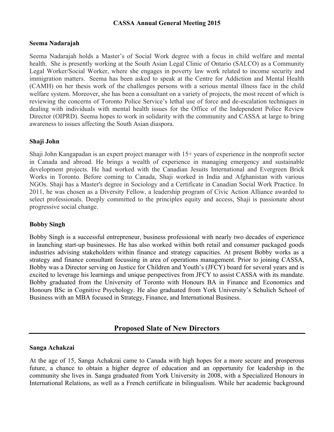#### **Seema Nadarajah**

Seema Nadarajah holds a Master's of Social Work degree with a focus in child welfare and mental health. She is presently working at the South Asian Legal Clinic of Ontario (SALCO) as a Community Legal Worker/Social Worker, where she engages in poverty law work related to income security and immigration matters. Seema has been asked to speak at the Centre for Addiction and Mental Health (CAMH) on her thesis work of the challenges persons with a serious mental illness face in the child welfare system. Moreover, she has been a consultant on a variety of projects, the most recent of which is reviewing the concerns of Toronto Police Service's lethal use of force and de-escalation techniques in dealing with individuals with mental health issues for the Office of the Independent Police Review Director (OIPRD). Seema hopes to work in solidarity with the community and CASSA at large to bring awareness to issues affecting the South Asian diaspora.

#### **Shaji John**

Shaji John Kangapadan is an expert project manager with 15+ years of experience in the nonprofit sector in Canada and abroad. He brings a wealth of experience in managing emergency and sustainable development projects. He had worked with the Canadian Jesuits International and Evergreen Brick Works in Toronto. Before coming to Canada, Shaji worked in India and Afghanistan with various NGOs. Shaji has a Master's degree in Sociology and a Certificate in Canadian Social Work Practice. In 2011, he was chosen as a Diversity Fellow, a leadership program of Civic Action Alliance awarded to select professionals. Deeply committed to the principles equity and access, Shaji is passionate about progressive social change.

#### **Bobby Singh**

Bobby Singh is a successful entrepreneur, business professional with nearly two decades of experience in launching start-up businesses. He has also worked within both retail and consumer packaged goods industries advising stakeholders within finance and strategy capacities. At present Bobby works as a strategy and finance consultant focussing in area of operations management. Prior to joining CASSA, Bobby was a Director serving on Justice for Children and Youth's (JFCY) board for several years and is excited to leverage his learnings and unique perspectives from JFCY to assist CASSA with its mandate. Bobby graduated from the University of Toronto with Honours BA in Finance and Economics and Honours BSc in Cognitive Psychology. He also graduated from York University's Schulich School of Business with an MBA focused in Strategy, Finance, and International Business.

# **Proposed Slate of New Directors**

#### **Sanga Achakzai**

At the age of 15, Sanga Achakzai came to Canada with high hopes for a more secure and prosperous future, a chance to obtain a higher degree of education and an opportunity for leadership in the community she lives in. Sanga graduated from York University in 2008, with a Specialized Honours in International Relations, as well as a French certificate in bilingualism. While her academic background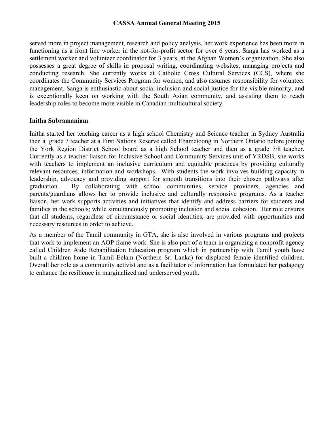served more in project management, research and policy analysis, her work experience has been more in functioning as a front line worker in the not-for-profit sector for over 6 years. Sanga has worked as a settlement worker and volunteer coordinator for 3 years, at the Afghan Women's organization. She also possesses a great degree of skills in proposal writing, coordinating websites, managing projects and conducting research. She currently works at Catholic Cross Cultural Services (CCS), where she coordinates the Community Services Program for women, and also assumes responsibility for volunteer management. Sanga is enthusiastic about social inclusion and social justice for the visible minority, and is exceptionally keen on working with the South Asian community, and assisting them to reach leadership roles to become more visible in Canadian multicultural society.

#### **Initha Subramaniam**

Initha started her teaching career as a high school Chemistry and Science teacher in Sydney Australia then a grade 7 teacher at a First Nations Reserve called Ebametoong in Northern Ontario before joining the York Region District School board as a high School teacher and then as a grade 7/8 teacher. Currently as a teacher liaison for Inclusive School and Community Services unit of YRDSB, she works with teachers to implement an inclusive curriculum and equitable practices by providing culturally relevant resources, information and workshops. With students the work involves building capacity in leadership, advocacy and providing support for smooth transitions into their chosen pathways after graduation. By collaborating with school communities, service providers, agencies and parents/guardians allows her to provide inclusive and culturally responsive programs. As a teacher liaison, her work supports activities and initiatives that identify and address barriers for students and families in the schools; while simultaneously promoting inclusion and social cohesion. Her role ensures that all students, regardless of circumstance or social identities, are provided with opportunities and necessary resources in order to achieve.

As a member of the Tamil community in GTA, she is also involved in various programs and projects that work to implement an AOP frame work. She is also part of a team in organizing a nonprofit agency called Children Aide Rehabilitation Education program which in partnership with Tamil youth have built a children home in Tamil Eelam (Northern Sri Lanka) for displaced female identified children. Overall her role as a community activist and as a facilitator of information has formulated her pedagogy to enhance the resilience in marginalized and underserved youth.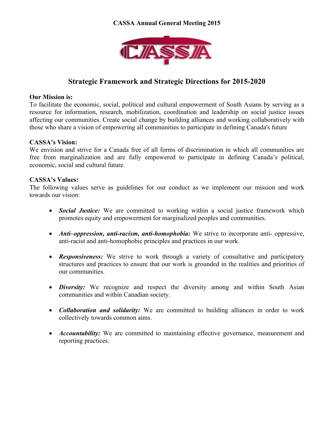

# **Strategic Framework and Strategic Directions for 2015-2020**

#### **Our Mission is:**

To facilitate the economic, social, political and cultural empowerment of South Asians by serving as a resource for information, research, mobilization, coordination and leadership on social justice issues affecting our communities. Create social change by building alliances and working collaboratively with those who share a vision of empowering all communities to participate in defining Canada's future

#### **CASSA's Vision:**

We envision and strive for a Canada free of all forms of discrimination in which all communities are free from marginalization and are fully empowered to participate in defining Canada's political, economic, social and cultural future.

#### **CASSA's Values:**

The following values serve as guidelines for our conduct as we implement our mission and work towards our vision:

- *Social Justice:* We are committed to working within a social justice framework which promotes equity and empowerment for marginalized peoples and communities.
- *Anti-oppression, anti-racism, anti-homophobia:* We strive to incorporate anti- oppressive, anti-racist and anti-homophobic principles and practices in our work.
- *Responsiveness:* We strive to work through a variety of consultative and participatory structures and practices to ensure that our work is grounded in the realities and priorities of our communities.
- *Diversity:* We recognize and respect the diversity among and within South Asian communities and within Canadian society.
- *Collaboration and solidarity:* We are committed to building alliances in order to work collectively towards common aims.
- *Accountability:* We are committed to maintaining effective governance, measurement and reporting practices.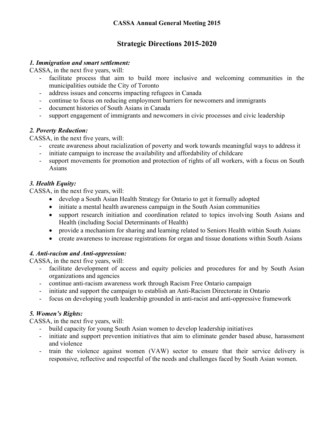# **Strategic Directions 2015-2020**

#### *1. Immigration and smart settlement:*

CASSA, in the next five years, will:

- facilitate process that aim to build more inclusive and welcoming communities in the municipalities outside the City of Toronto
- address issues and concerns impacting refugees in Canada
- continue to focus on reducing employment barriers for newcomers and immigrants
- document histories of South Asians in Canada
- support engagement of immigrants and newcomers in civic processes and civic leadership

#### *2. Poverty Reduction:*

CASSA, in the next five years, will:

- create awareness about racialization of poverty and work towards meaningful ways to address it
- initiate campaign to increase the availability and affordability of childcare
- support movements for promotion and protection of rights of all workers, with a focus on South Asians

# *3. Health Equity:*

CASSA, in the next five years, will:

- develop a South Asian Health Strategy for Ontario to get it formally adopted
- initiate a mental health awareness campaign in the South Asian communities
- support research initiation and coordination related to topics involving South Asians and Health (including Social Determinants of Health)
- provide a mechanism for sharing and learning related to Seniors Health within South Asians
- create awareness to increase registrations for organ and tissue donations within South Asians

# *4. Anti-racism and Anti-oppression:*

CASSA, in the next five years, will:

- facilitate development of access and equity policies and procedures for and by South Asian organizations and agencies
- continue anti-racism awareness work through Racism Free Ontario campaign
- initiate and support the campaign to establish an Anti-Racism Directorate in Ontario
- focus on developing youth leadership grounded in anti-racist and anti-oppressive framework

# *5. Women's Rights:*

CASSA, in the next five years, will:

- build capacity for young South Asian women to develop leadership initiatives
- initiate and support prevention initiatives that aim to eliminate gender based abuse, harassment and violence
- train the violence against women (VAW) sector to ensure that their service delivery is responsive, reflective and respectful of the needs and challenges faced by South Asian women.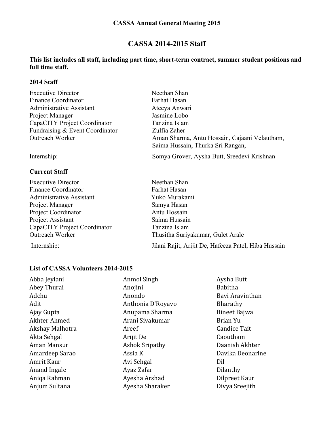# **CASSA 2014-2015 Staff**

#### **This list includes all staff, including part time, short-term contract, summer student positions and full time staff.**

#### **2014 Staff**

| <b>Executive Director</b>       | Neethan Shan                                                                       |
|---------------------------------|------------------------------------------------------------------------------------|
| Finance Coordinator             | Farhat Hasan                                                                       |
| Administrative Assistant        | Ateeya Anwari                                                                      |
| Project Manager                 | Jasmine Lobo                                                                       |
| CapaCITY Project Coordinator    | Tanzina Islam                                                                      |
| Fundraising & Event Coordinator | Zulfia Zaher                                                                       |
| <b>Outreach Worker</b>          | Aman Sharma, Antu Hossain, Cajaani Velautham,<br>Saima Hussain, Thurka Sri Rangan, |
| Internship:                     | Somya Grover, Aysha Butt, Sreedevi Krishnan                                        |

#### **Current Staff**

| <b>Executive Director</b>       | Neethan Shan                                         |
|---------------------------------|------------------------------------------------------|
| <b>Finance Coordinator</b>      | Farhat Hasan                                         |
| <b>Administrative Assistant</b> | Yuko Murakami                                        |
| Project Manager                 | Samya Hasan                                          |
| Project Coordinator             | Antu Hossain                                         |
| Project Assistant               | Saima Hussain                                        |
| CapaCITY Project Coordinator    | Tanzina Islam                                        |
| Outreach Worker                 | Thusitha Suriyakumar, Gulet Arale                    |
| Internship:                     | Jilani Rajit, Arijit De, Hafeeza Patel, Hiba Hussain |

#### **List of CASSA Volunteers 2014-2015**

Abba Jeylani **Anmol** Singh Anmol Singh Aysha Butt Abey Thurai **Anogliani** Anojini Babitha Adchu Anondo Bavi Aravinthan Adit Anthonia D'Royavo Bharathy Ajay Gupta **Anupama** Sharma **Bineet Bajwa** Akhter Ahmed Arani Sivakumar Brian Yu Akshay Malhotra **Areef** Areef Candice Tait Akta Sehgal **Arijit** De Caoutham Aman Mansur **Ashok Sripathy** Daanish Akhter Amardeep Sarao **Assia K** Davika Deonarine Amrit Kaur **Avi Sehgal** Dil Anand Ingale **Ayaz** Zafar **Dilanthy** Aniqa Rahman **Ayesha** Arshad **Dilpreet Kaur** Anjum Sultana **Ayesha** Sharaker **Divya** Sreejith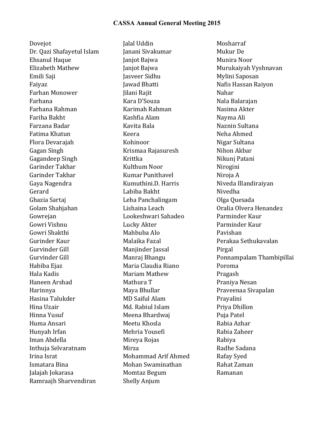Dovejot **Jalal** Uddin Mosharraf Dr. Qazi Shafayetul Islam Janani Sivakumar Mukur De Ehsanul Haque **Implies Institute Community** Janjot Bajwa **Munira** Noor Elizabeth Mathew Janjot Bajwa Murukaiyah Vyshnavan Emili Saji Jasveer Sidhu Mylini Saposan Faiyaz **Iawad Bhatti** Nafis Hassan Raiyon Farhan Monower Mahar Jilani Rajit Nahar Nahar Farhana **Kara D'Souza** Kara D'Souza Nala Balarajan Farhana Rahman Karimah Rahman Nasima Akter Fariha Bakht Kashfia Alam Nayma Ali Farzana Badar Kavita Bala Naznin Sultana Fatima Khatun Keera Neha Ahmed Flora Devarajah Kohinoor Nigar Sultana Gagan Singh The Resource Krismaa Rajasuresh Nihon Akbar Gagandeep Singh Krittka Nikunj Patani Garinder Takhar **Kulthum Noor** Nirogini Garinder Takhar **Kumar Punithavel** Niroja A Gaya Nagendra Kumuthini.D. Harris Niveda Illandiraiyan Gerard Communication in the Labiba Bakht Communication Nivedha Ghazia Sartaj de Leha Panchalingam de Olga Quesada Golam Shahjahan **Lishaina Leach** Colam Shahjahan Coralia Olvera Henandez Gowrejan Cookeshwari Sahadeo Parminder Kaur Gowri Vishnu Lucky Akter Parminder Kaur Gowri Shakthi Mahbuba Alo Pavishan Gurinder Kaur **Malaika Fazal** Perakaa Sethukavalan Gurvinder Gill **Manjinder Jassal** Pirgal Habiba Ejaz Maria Claudia Riano Poroma Hala Kadis **Mariam Mathew** Pragash Haneen Arshad Mathura T Praniya Nesan Harinnya Maya Bhullar Praveenaa Sivapalan Hasina Talukder MD Saiful Alam Prayalini Hina Uzair Md. Rabiul Islam Priya Dhillon Hinna Yusuf **Meena Bhardwaj** Puja Patel Huma Ansari Meetu Khosla Rabia Azhar Hunyah Irfan Mehria Yousefi Rabia Zaheer Iman Abdella Mireya Rojas Rabiya Inthuja Selvaratnam Mirza Mirza Radhe Sadana Irina Israt **Mohammad** Arif Ahmed Rafay Syed Ismatara Bina Mohan Swaminathan Rahat Zaman Jalajah Jokarasa **Momtaz** Begum Ramanan Ramraajh Sharvendiran Shelly Anjum

Gurvinder Gill **Manraj Bhangu** Ponnampalam Thambipillai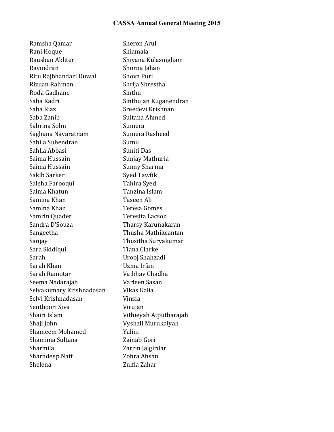Ramsha Qamar Sheron Arul Rani Hoque Shiamala Raushan Akhter Shiyana Kulasingham Ravindran Shorna Jahan Ritu Rajbhandari Duwal Shova Puri Rizuan Rahman Shrija Shrestha Roda Gadhane Sinthu Saba Kadri **Saba** Kadri Sinthujan Kuganendran Saba Riaz **Saba** Sreedevi Krishnan Saba Zanib Sultana Ahmed Sabrina Sohn Sumera Saghana Navaratnam Sumera Rasheed Sahila Subendran Sumu Sahlla Abbasi Suniti Das Saima Hussain Sunjay Mathuria Saima Hussain Sunny Sharma Sakib Sarker Syed Tawfik Saleha Farooqui **Tahira** Syed Salma Khatun Tanzina Islam Samina Khan Taseen Ali Samina Khan Teresa Gomes Samrin Quader Teresita Lacson Sandra D'Souza **Tharsy Karunakaran** Sangeetha Thusha Mathikcantan Sanjay **Thusitha** Suryakumar Sara Siddiqui **Tiana Clarke** Sarah Urooj Shahzadi Sarah Khan **Ing Paralama** Uzma Irfan Sarah Ramotar Vaibhav Chadha Seema Nadarajah **Varleen Sasan** Selvakumary Krishnadasan Vikas Kalia Selvi Krishnadasan Vinsia Senthoori Siva Virujan Shairi Islam Vithieyah Atputharajah Shaji John Vyshali Murukaiyah Shameem Mohamed Yalini Shamima Sultana **Zainab** Gori Sharmila Zarrin Jaigirdar Sharndeep Natt Zohra Ahsan Shelena **Zulfia Zahar**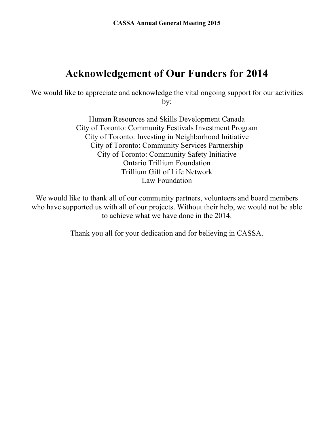# **Acknowledgement of Our Funders for 2014**

We would like to appreciate and acknowledge the vital ongoing support for our activities by:

> Human Resources and Skills Development Canada City of Toronto: Community Festivals Investment Program City of Toronto: Investing in Neighborhood Initiative City of Toronto: Community Services Partnership City of Toronto: Community Safety Initiative Ontario Trillium Foundation Trillium Gift of Life Network Law Foundation

We would like to thank all of our community partners, volunteers and board members who have supported us with all of our projects. Without their help, we would not be able to achieve what we have done in the 2014.

Thank you all for your dedication and for believing in CASSA.